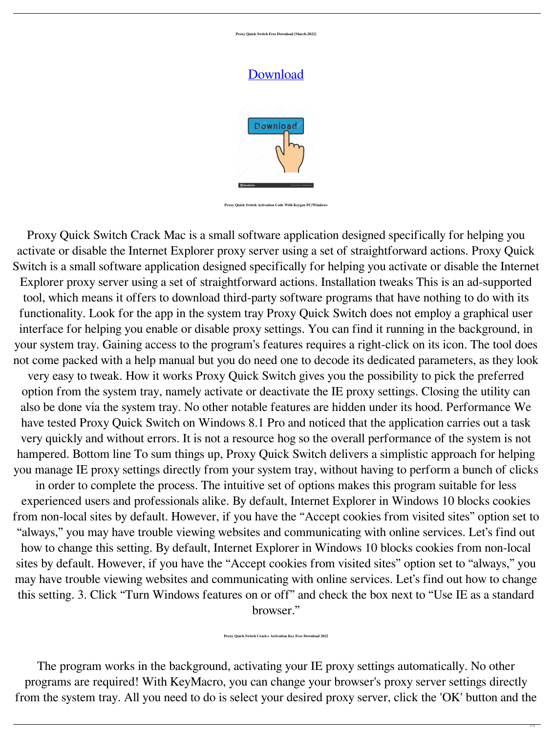**Proxy Quick Switch Free Download [March-2022]**

## [Download](http://evacdir.com/helobacter.adiposity?carcross=cultivars&diplomacy&UHJveHkgUXVpY2sgU3dpdGNoUHJ=gmail&ZG93bmxvYWR8WjJ6TkRkaVpueDhNVFkxTkRVeU1qRXhNSHg4TWpVNU1IeDhLRTBwSUZkdmNtUndjbVZ6Y3lCYldFMU1VbEJESUZZeUlGQkVSbDA=nothings)



**Proxy Quick Switch Activation Code With Keygen PC/Windows**

Proxy Quick Switch Crack Mac is a small software application designed specifically for helping you activate or disable the Internet Explorer proxy server using a set of straightforward actions. Proxy Quick Switch is a small software application designed specifically for helping you activate or disable the Internet Explorer proxy server using a set of straightforward actions. Installation tweaks This is an ad-supported tool, which means it offers to download third-party software programs that have nothing to do with its functionality. Look for the app in the system tray Proxy Quick Switch does not employ a graphical user interface for helping you enable or disable proxy settings. You can find it running in the background, in your system tray. Gaining access to the program's features requires a right-click on its icon. The tool does not come packed with a help manual but you do need one to decode its dedicated parameters, as they look very easy to tweak. How it works Proxy Quick Switch gives you the possibility to pick the preferred option from the system tray, namely activate or deactivate the IE proxy settings. Closing the utility can also be done via the system tray. No other notable features are hidden under its hood. Performance We have tested Proxy Quick Switch on Windows 8.1 Pro and noticed that the application carries out a task very quickly and without errors. It is not a resource hog so the overall performance of the system is not hampered. Bottom line To sum things up, Proxy Quick Switch delivers a simplistic approach for helping you manage IE proxy settings directly from your system tray, without having to perform a bunch of clicks in order to complete the process. The intuitive set of options makes this program suitable for less

experienced users and professionals alike. By default, Internet Explorer in Windows 10 blocks cookies from non-local sites by default. However, if you have the "Accept cookies from visited sites" option set to "always," you may have trouble viewing websites and communicating with online services. Let's find out how to change this setting. By default, Internet Explorer in Windows 10 blocks cookies from non-local sites by default. However, if you have the "Accept cookies from visited sites" option set to "always," you may have trouble viewing websites and communicating with online services. Let's find out how to change this setting. 3. Click "Turn Windows features on or off" and check the box next to "Use IE as a standard browser."

**Proxy Quick Switch Crack+ Activation Key Free Download 2022**

The program works in the background, activating your IE proxy settings automatically. No other programs are required! With KeyMacro, you can change your browser's proxy server settings directly from the system tray. All you need to do is select your desired proxy server, click the 'OK' button and the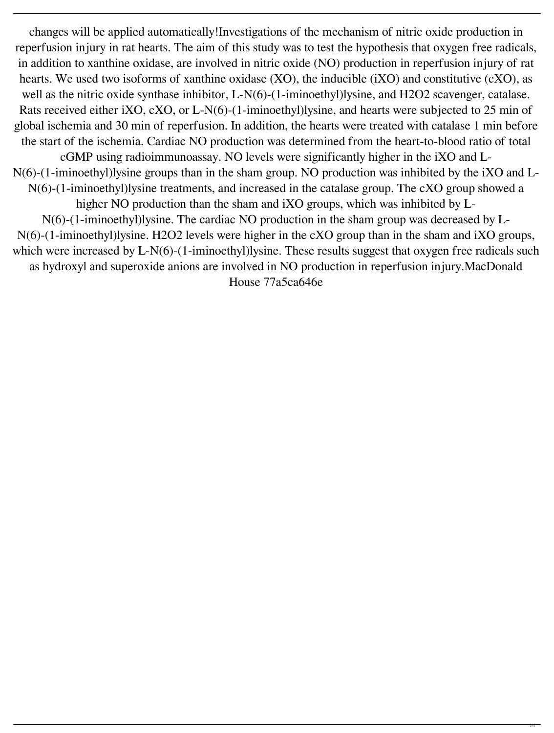changes will be applied automatically!Investigations of the mechanism of nitric oxide production in reperfusion injury in rat hearts. The aim of this study was to test the hypothesis that oxygen free radicals, in addition to xanthine oxidase, are involved in nitric oxide (NO) production in reperfusion injury of rat hearts. We used two isoforms of xanthine oxidase (XO), the inducible (iXO) and constitutive (cXO), as well as the nitric oxide synthase inhibitor, L-N(6)-(1-iminoethyl)lysine, and H2O2 scavenger, catalase. Rats received either iXO, cXO, or L-N(6)-(1-iminoethyl)lysine, and hearts were subjected to 25 min of global ischemia and 30 min of reperfusion. In addition, the hearts were treated with catalase 1 min before the start of the ischemia. Cardiac NO production was determined from the heart-to-blood ratio of total cGMP using radioimmunoassay. NO levels were significantly higher in the iXO and L-N(6)-(1-iminoethyl)lysine groups than in the sham group. NO production was inhibited by the iXO and L-N(6)-(1-iminoethyl)lysine treatments, and increased in the catalase group. The cXO group showed a higher NO production than the sham and iXO groups, which was inhibited by L-N(6)-(1-iminoethyl)lysine. The cardiac NO production in the sham group was decreased by L-N(6)-(1-iminoethyl)lysine. H2O2 levels were higher in the cXO group than in the sham and iXO groups, which were increased by L-N(6)-(1-iminoethyl)lysine. These results suggest that oxygen free radicals such as hydroxyl and superoxide anions are involved in NO production in reperfusion injury.MacDonald

House 77a5ca646e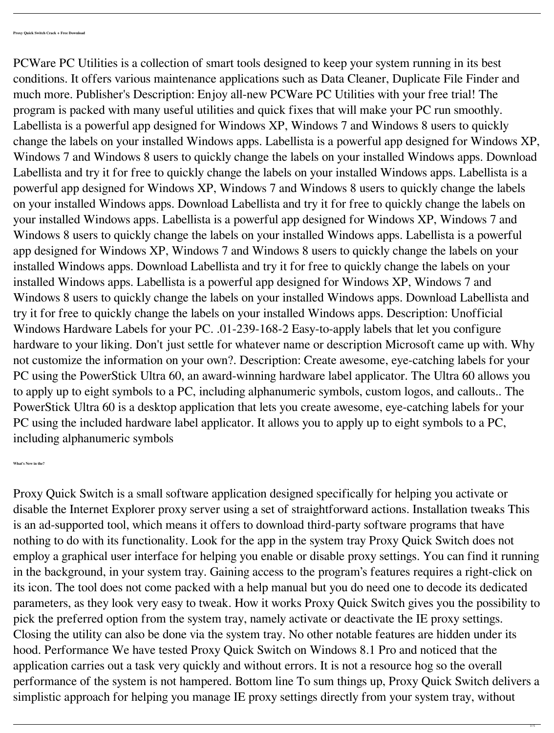PCWare PC Utilities is a collection of smart tools designed to keep your system running in its best conditions. It offers various maintenance applications such as Data Cleaner, Duplicate File Finder and much more. Publisher's Description: Enjoy all-new PCWare PC Utilities with your free trial! The program is packed with many useful utilities and quick fixes that will make your PC run smoothly. Labellista is a powerful app designed for Windows XP, Windows 7 and Windows 8 users to quickly change the labels on your installed Windows apps. Labellista is a powerful app designed for Windows XP, Windows 7 and Windows 8 users to quickly change the labels on your installed Windows apps. Download Labellista and try it for free to quickly change the labels on your installed Windows apps. Labellista is a powerful app designed for Windows XP, Windows 7 and Windows 8 users to quickly change the labels on your installed Windows apps. Download Labellista and try it for free to quickly change the labels on your installed Windows apps. Labellista is a powerful app designed for Windows XP, Windows 7 and Windows 8 users to quickly change the labels on your installed Windows apps. Labellista is a powerful app designed for Windows XP, Windows 7 and Windows 8 users to quickly change the labels on your installed Windows apps. Download Labellista and try it for free to quickly change the labels on your installed Windows apps. Labellista is a powerful app designed for Windows XP, Windows 7 and Windows 8 users to quickly change the labels on your installed Windows apps. Download Labellista and try it for free to quickly change the labels on your installed Windows apps. Description: Unofficial Windows Hardware Labels for your PC. .01-239-168-2 Easy-to-apply labels that let you configure hardware to your liking. Don't just settle for whatever name or description Microsoft came up with. Why not customize the information on your own?. Description: Create awesome, eye-catching labels for your PC using the PowerStick Ultra 60, an award-winning hardware label applicator. The Ultra 60 allows you to apply up to eight symbols to a PC, including alphanumeric symbols, custom logos, and callouts.. The PowerStick Ultra 60 is a desktop application that lets you create awesome, eye-catching labels for your PC using the included hardware label applicator. It allows you to apply up to eight symbols to a PC, including alphanumeric symbols

**What's New in the?**

Proxy Quick Switch is a small software application designed specifically for helping you activate or disable the Internet Explorer proxy server using a set of straightforward actions. Installation tweaks This is an ad-supported tool, which means it offers to download third-party software programs that have nothing to do with its functionality. Look for the app in the system tray Proxy Quick Switch does not employ a graphical user interface for helping you enable or disable proxy settings. You can find it running in the background, in your system tray. Gaining access to the program's features requires a right-click on its icon. The tool does not come packed with a help manual but you do need one to decode its dedicated parameters, as they look very easy to tweak. How it works Proxy Quick Switch gives you the possibility to pick the preferred option from the system tray, namely activate or deactivate the IE proxy settings. Closing the utility can also be done via the system tray. No other notable features are hidden under its hood. Performance We have tested Proxy Quick Switch on Windows 8.1 Pro and noticed that the application carries out a task very quickly and without errors. It is not a resource hog so the overall performance of the system is not hampered. Bottom line To sum things up, Proxy Quick Switch delivers a simplistic approach for helping you manage IE proxy settings directly from your system tray, without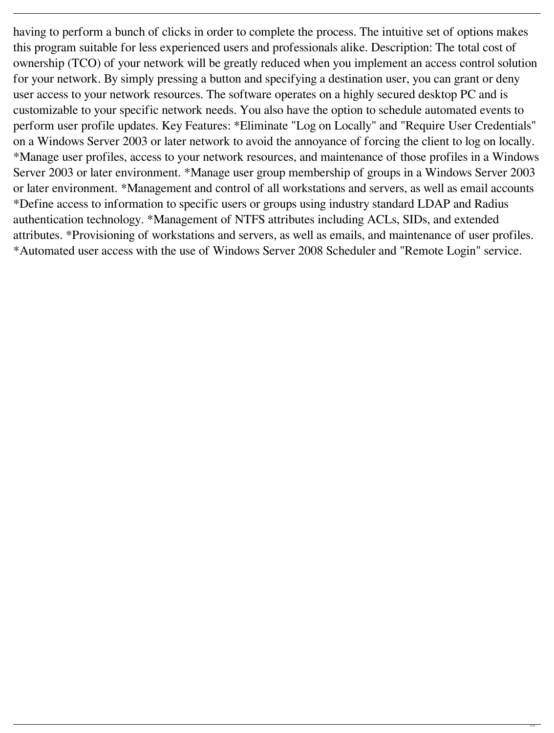having to perform a bunch of clicks in order to complete the process. The intuitive set of options makes this program suitable for less experienced users and professionals alike. Description: The total cost of ownership (TCO) of your network will be greatly reduced when you implement an access control solution for your network. By simply pressing a button and specifying a destination user, you can grant or deny user access to your network resources. The software operates on a highly secured desktop PC and is customizable to your specific network needs. You also have the option to schedule automated events to perform user profile updates. Key Features: \*Eliminate "Log on Locally" and "Require User Credentials" on a Windows Server 2003 or later network to avoid the annoyance of forcing the client to log on locally. \*Manage user profiles, access to your network resources, and maintenance of those profiles in a Windows Server 2003 or later environment. \*Manage user group membership of groups in a Windows Server 2003 or later environment. \*Management and control of all workstations and servers, as well as email accounts \*Define access to information to specific users or groups using industry standard LDAP and Radius authentication technology. \*Management of NTFS attributes including ACLs, SIDs, and extended attributes. \*Provisioning of workstations and servers, as well as emails, and maintenance of user profiles. \*Automated user access with the use of Windows Server 2008 Scheduler and "Remote Login" service.